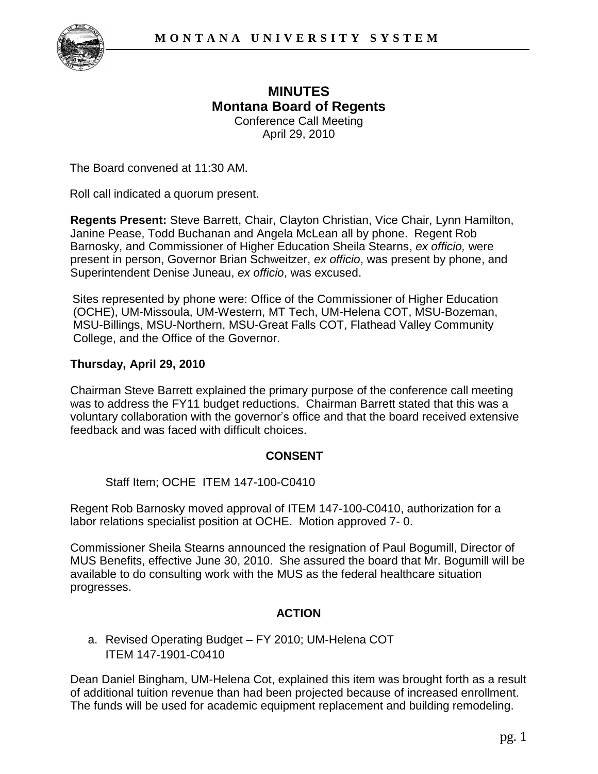

# **MINUTES Montana Board of Regents**  Conference Call Meeting

April 29, 2010

The Board convened at 11:30 AM.

Roll call indicated a quorum present.

**Regents Present:** Steve Barrett, Chair, Clayton Christian, Vice Chair, Lynn Hamilton, Janine Pease, Todd Buchanan and Angela McLean all by phone. Regent Rob Barnosky, and Commissioner of Higher Education Sheila Stearns, *ex officio,* were present in person, Governor Brian Schweitzer, *ex officio*, was present by phone, and Superintendent Denise Juneau, *ex officio*, was excused.

Sites represented by phone were: Office of the Commissioner of Higher Education (OCHE), UM-Missoula, UM-Western, MT Tech, UM-Helena COT, MSU-Bozeman, MSU-Billings, MSU-Northern, MSU-Great Falls COT, Flathead Valley Community College, and the Office of the Governor.

### **Thursday, April 29, 2010**

Chairman Steve Barrett explained the primary purpose of the conference call meeting was to address the FY11 budget reductions. Chairman Barrett stated that this was a voluntary collaboration with the governor's office and that the board received extensive feedback and was faced with difficult choices.

### **CONSENT**

Staff Item; OCHE ITEM 147-100-C0410

Regent Rob Barnosky moved approval of ITEM 147-100-C0410, authorization for a labor relations specialist position at OCHE. Motion approved 7- 0.

Commissioner Sheila Stearns announced the resignation of Paul Bogumill, Director of MUS Benefits, effective June 30, 2010. She assured the board that Mr. Bogumill will be available to do consulting work with the MUS as the federal healthcare situation progresses.

### **ACTION**

a. Revised Operating Budget – FY 2010; UM-Helena COT ITEM 147-1901-C0410

Dean Daniel Bingham, UM-Helena Cot, explained this item was brought forth as a result of additional tuition revenue than had been projected because of increased enrollment. The funds will be used for academic equipment replacement and building remodeling.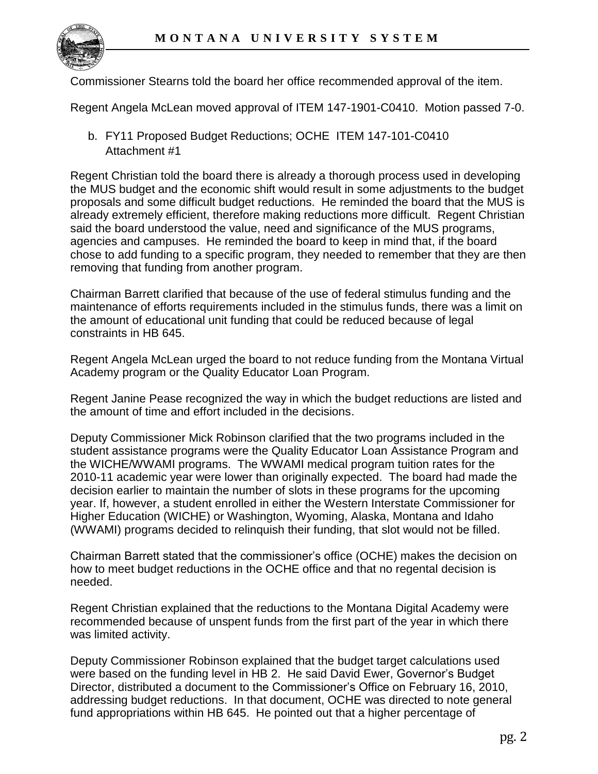

Commissioner Stearns told the board her office recommended approval of the item.

Regent Angela McLean moved approval of ITEM 147-1901-C0410. Motion passed 7-0.

b. FY11 Proposed Budget Reductions; OCHE ITEM 147-101-C0410 Attachment #1

Regent Christian told the board there is already a thorough process used in developing the MUS budget and the economic shift would result in some adjustments to the budget proposals and some difficult budget reductions. He reminded the board that the MUS is already extremely efficient, therefore making reductions more difficult. Regent Christian said the board understood the value, need and significance of the MUS programs, agencies and campuses. He reminded the board to keep in mind that, if the board chose to add funding to a specific program, they needed to remember that they are then removing that funding from another program.

Chairman Barrett clarified that because of the use of federal stimulus funding and the maintenance of efforts requirements included in the stimulus funds, there was a limit on the amount of educational unit funding that could be reduced because of legal constraints in HB 645.

Regent Angela McLean urged the board to not reduce funding from the Montana Virtual Academy program or the Quality Educator Loan Program.

Regent Janine Pease recognized the way in which the budget reductions are listed and the amount of time and effort included in the decisions.

Deputy Commissioner Mick Robinson clarified that the two programs included in the student assistance programs were the Quality Educator Loan Assistance Program and the WICHE/WWAMI programs. The WWAMI medical program tuition rates for the 2010-11 academic year were lower than originally expected. The board had made the decision earlier to maintain the number of slots in these programs for the upcoming year. If, however, a student enrolled in either the Western Interstate Commissioner for Higher Education (WICHE) or Washington, Wyoming, Alaska, Montana and Idaho (WWAMI) programs decided to relinquish their funding, that slot would not be filled.

Chairman Barrett stated that the commissioner's office (OCHE) makes the decision on how to meet budget reductions in the OCHE office and that no regental decision is needed.

Regent Christian explained that the reductions to the Montana Digital Academy were recommended because of unspent funds from the first part of the year in which there was limited activity.

Deputy Commissioner Robinson explained that the budget target calculations used were based on the funding level in HB 2. He said David Ewer, Governor's Budget Director, distributed a document to the Commissioner's Office on February 16, 2010, addressing budget reductions. In that document, OCHE was directed to note general fund appropriations within HB 645. He pointed out that a higher percentage of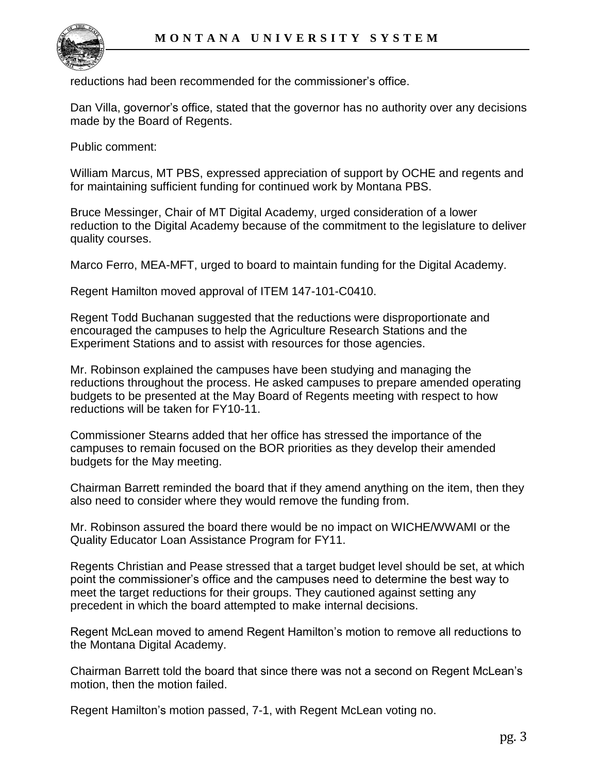reductions had been recommended for the commissioner's office.

Dan Villa, governor's office, stated that the governor has no authority over any decisions made by the Board of Regents.

Public comment:

William Marcus, MT PBS, expressed appreciation of support by OCHE and regents and for maintaining sufficient funding for continued work by Montana PBS.

Bruce Messinger, Chair of MT Digital Academy, urged consideration of a lower reduction to the Digital Academy because of the commitment to the legislature to deliver quality courses.

Marco Ferro, MEA-MFT, urged to board to maintain funding for the Digital Academy.

Regent Hamilton moved approval of ITEM 147-101-C0410.

Regent Todd Buchanan suggested that the reductions were disproportionate and encouraged the campuses to help the Agriculture Research Stations and the Experiment Stations and to assist with resources for those agencies.

Mr. Robinson explained the campuses have been studying and managing the reductions throughout the process. He asked campuses to prepare amended operating budgets to be presented at the May Board of Regents meeting with respect to how reductions will be taken for FY10-11.

Commissioner Stearns added that her office has stressed the importance of the campuses to remain focused on the BOR priorities as they develop their amended budgets for the May meeting.

Chairman Barrett reminded the board that if they amend anything on the item, then they also need to consider where they would remove the funding from.

Mr. Robinson assured the board there would be no impact on WICHE/WWAMI or the Quality Educator Loan Assistance Program for FY11.

Regents Christian and Pease stressed that a target budget level should be set, at which point the commissioner's office and the campuses need to determine the best way to meet the target reductions for their groups. They cautioned against setting any precedent in which the board attempted to make internal decisions.

Regent McLean moved to amend Regent Hamilton's motion to remove all reductions to the Montana Digital Academy.

Chairman Barrett told the board that since there was not a second on Regent McLean's motion, then the motion failed.

Regent Hamilton's motion passed, 7-1, with Regent McLean voting no.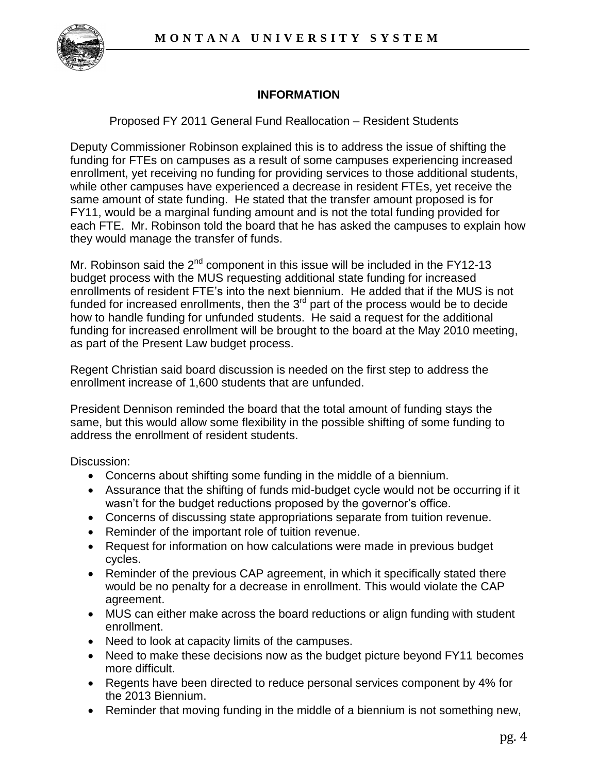

# **INFORMATION**

Proposed FY 2011 General Fund Reallocation – Resident Students

Deputy Commissioner Robinson explained this is to address the issue of shifting the funding for FTEs on campuses as a result of some campuses experiencing increased enrollment, yet receiving no funding for providing services to those additional students, while other campuses have experienced a decrease in resident FTEs, yet receive the same amount of state funding. He stated that the transfer amount proposed is for FY11, would be a marginal funding amount and is not the total funding provided for each FTE. Mr. Robinson told the board that he has asked the campuses to explain how they would manage the transfer of funds.

Mr. Robinson said the  $2^{nd}$  component in this issue will be included in the FY12-13 budget process with the MUS requesting additional state funding for increased enrollments of resident FTE's into the next biennium. He added that if the MUS is not funded for increased enrollments, then the  $3<sup>rd</sup>$  part of the process would be to decide how to handle funding for unfunded students. He said a request for the additional funding for increased enrollment will be brought to the board at the May 2010 meeting, as part of the Present Law budget process.

Regent Christian said board discussion is needed on the first step to address the enrollment increase of 1,600 students that are unfunded.

President Dennison reminded the board that the total amount of funding stays the same, but this would allow some flexibility in the possible shifting of some funding to address the enrollment of resident students.

Discussion:

- Concerns about shifting some funding in the middle of a biennium.
- Assurance that the shifting of funds mid-budget cycle would not be occurring if it wasn't for the budget reductions proposed by the governor's office.
- Concerns of discussing state appropriations separate from tuition revenue.
- Reminder of the important role of tuition revenue.
- Request for information on how calculations were made in previous budget cycles.
- Reminder of the previous CAP agreement, in which it specifically stated there would be no penalty for a decrease in enrollment. This would violate the CAP agreement.
- MUS can either make across the board reductions or align funding with student enrollment.
- Need to look at capacity limits of the campuses.
- Need to make these decisions now as the budget picture beyond FY11 becomes more difficult.
- Regents have been directed to reduce personal services component by 4% for the 2013 Biennium.
- Reminder that moving funding in the middle of a biennium is not something new,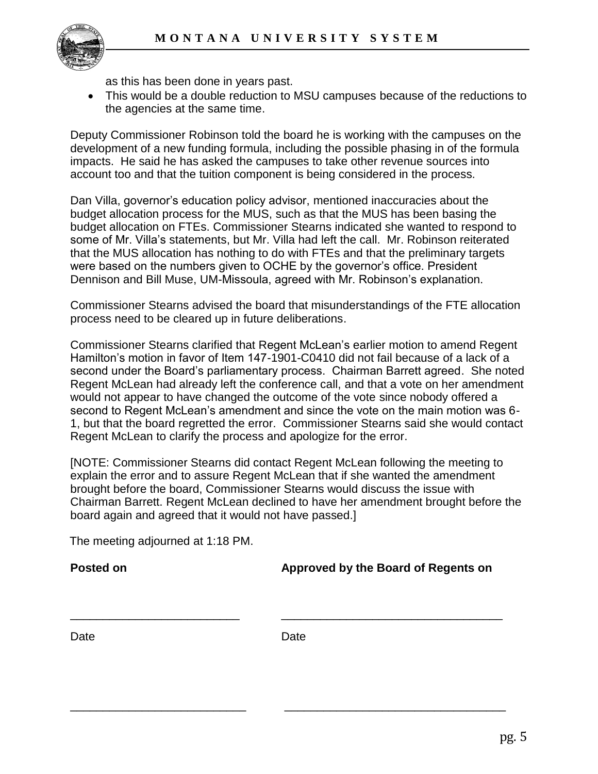

as this has been done in years past.

 This would be a double reduction to MSU campuses because of the reductions to the agencies at the same time.

Deputy Commissioner Robinson told the board he is working with the campuses on the development of a new funding formula, including the possible phasing in of the formula impacts. He said he has asked the campuses to take other revenue sources into account too and that the tuition component is being considered in the process.

Dan Villa, governor's education policy advisor, mentioned inaccuracies about the budget allocation process for the MUS, such as that the MUS has been basing the budget allocation on FTEs. Commissioner Stearns indicated she wanted to respond to some of Mr. Villa's statements, but Mr. Villa had left the call. Mr. Robinson reiterated that the MUS allocation has nothing to do with FTEs and that the preliminary targets were based on the numbers given to OCHE by the governor's office. President Dennison and Bill Muse, UM-Missoula, agreed with Mr. Robinson's explanation.

Commissioner Stearns advised the board that misunderstandings of the FTE allocation process need to be cleared up in future deliberations.

Commissioner Stearns clarified that Regent McLean's earlier motion to amend Regent Hamilton's motion in favor of Item 147-1901-C0410 did not fail because of a lack of a second under the Board's parliamentary process. Chairman Barrett agreed. She noted Regent McLean had already left the conference call, and that a vote on her amendment would not appear to have changed the outcome of the vote since nobody offered a second to Regent McLean's amendment and since the vote on the main motion was 6- 1, but that the board regretted the error. Commissioner Stearns said she would contact Regent McLean to clarify the process and apologize for the error.

[NOTE: Commissioner Stearns did contact Regent McLean following the meeting to explain the error and to assure Regent McLean that if she wanted the amendment brought before the board, Commissioner Stearns would discuss the issue with Chairman Barrett. Regent McLean declined to have her amendment brought before the board again and agreed that it would not have passed.]

The meeting adjourned at 1:18 PM.

**Posted on Approved by the Board of Regents on**

Date **Date** Date **Date** 

\_\_\_\_\_\_\_\_\_\_\_\_\_\_\_\_\_\_\_\_\_\_\_\_\_\_ \_\_\_\_\_\_\_\_\_\_\_\_\_\_\_\_\_\_\_\_\_\_\_\_\_\_\_\_\_\_\_\_\_\_

\_\_\_\_\_\_\_\_\_\_\_\_\_\_\_\_\_\_\_\_\_\_\_\_\_\_\_ \_\_\_\_\_\_\_\_\_\_\_\_\_\_\_\_\_\_\_\_\_\_\_\_\_\_\_\_\_\_\_\_\_\_